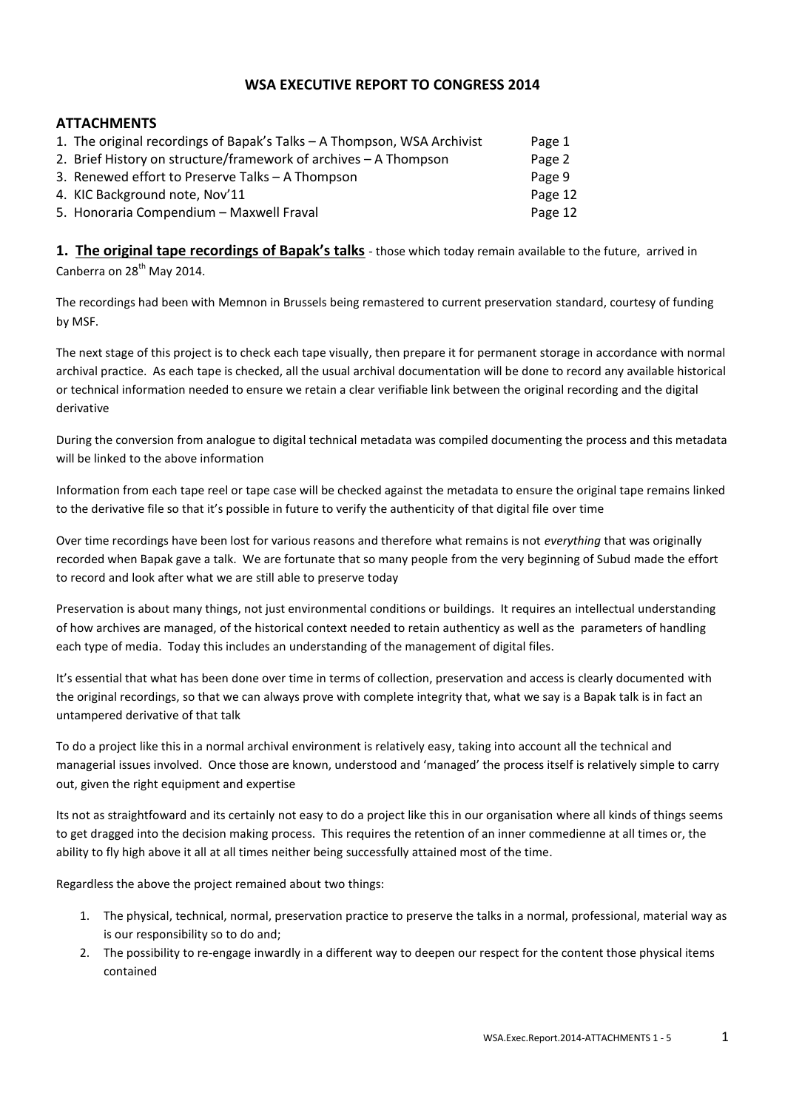# **WSA EXECUTIVE REPORT TO CONGRESS 2014**

# **ATTACHMENTS**

| 1. The original recordings of Bapak's Talks - A Thompson, WSA Archivist | Page 1  |
|-------------------------------------------------------------------------|---------|
| 2. Brief History on structure/framework of archives – A Thompson        | Page 2  |
| 3. Renewed effort to Preserve Talks - A Thompson                        | Page 9  |
| 4. KIC Background note, Nov'11                                          | Page 12 |
| 5. Honoraria Compendium - Maxwell Fraval                                | Page 12 |
|                                                                         |         |

**1. The original tape recordings of Bapak's talks** - those which today remain available to the future, arrived in Canberra on 28<sup>th</sup> May 2014.

The recordings had been with Memnon in Brussels being remastered to current preservation standard, courtesy of funding by MSF.

The next stage of this project is to check each tape visually, then prepare it for permanent storage in accordance with normal archival practice. As each tape is checked, all the usual archival documentation will be done to record any available historical or technical information needed to ensure we retain a clear verifiable link between the original recording and the digital derivative

During the conversion from analogue to digital technical metadata was compiled documenting the process and this metadata will be linked to the above information

Information from each tape reel or tape case will be checked against the metadata to ensure the original tape remains linked to the derivative file so that it's possible in future to verify the authenticity of that digital file over time

Over time recordings have been lost for various reasons and therefore what remains is not *everything* that was originally recorded when Bapak gave a talk. We are fortunate that so many people from the very beginning of Subud made the effort to record and look after what we are still able to preserve today

Preservation is about many things, not just environmental conditions or buildings. It requires an intellectual understanding of how archives are managed, of the historical context needed to retain authenticy as well as the parameters of handling each type of media. Today this includes an understanding of the management of digital files.

It's essential that what has been done over time in terms of collection, preservation and access is clearly documented with the original recordings, so that we can always prove with complete integrity that, what we say is a Bapak talk is in fact an untampered derivative of that talk

To do a project like this in a normal archival environment is relatively easy, taking into account all the technical and managerial issues involved. Once those are known, understood and 'managed' the process itself is relatively simple to carry out, given the right equipment and expertise

Its not as straightfoward and its certainly not easy to do a project like this in our organisation where all kinds of things seems to get dragged into the decision making process. This requires the retention of an inner commedienne at all times or, the ability to fly high above it all at all times neither being successfully attained most of the time.

Regardless the above the project remained about two things:

- 1. The physical, technical, normal, preservation practice to preserve the talks in a normal, professional, material way as is our responsibility so to do and;
- 2. The possibility to re-engage inwardly in a different way to deepen our respect for the content those physical items contained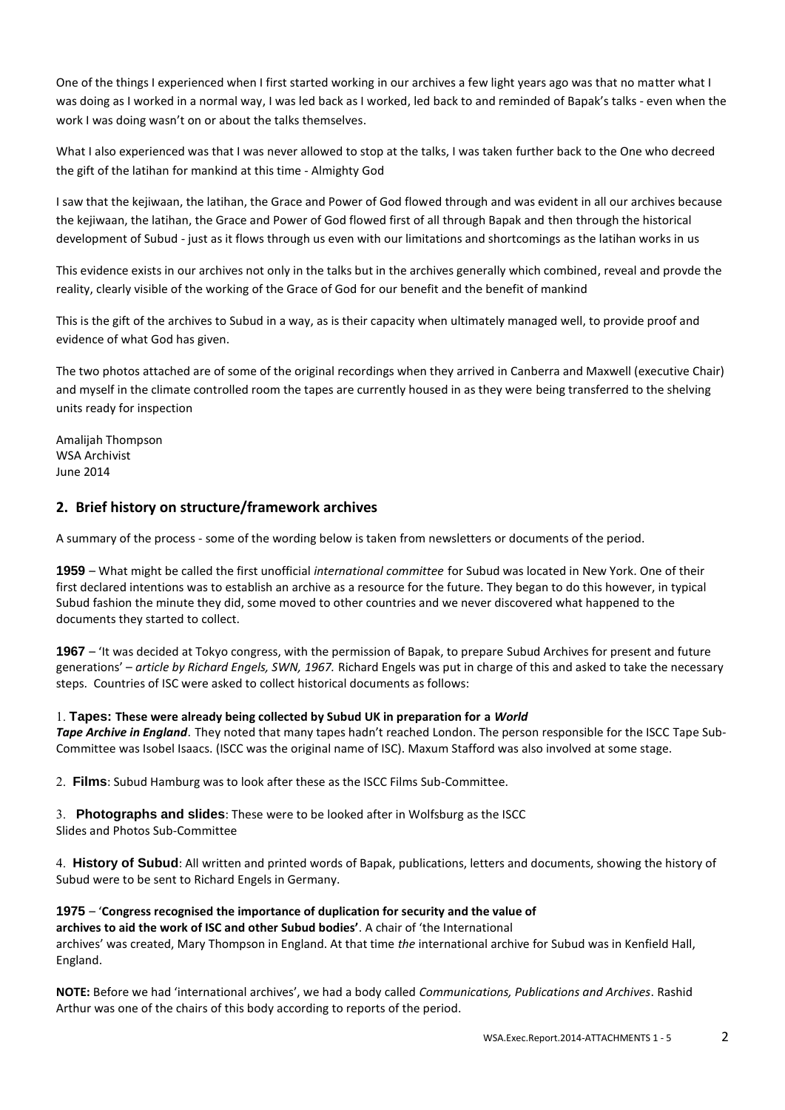One of the things I experienced when I first started working in our archives a few light years ago was that no matter what I was doing as I worked in a normal way, I was led back as I worked, led back to and reminded of Bapak's talks - even when the work I was doing wasn't on or about the talks themselves.

What I also experienced was that I was never allowed to stop at the talks, I was taken further back to the One who decreed the gift of the latihan for mankind at this time - Almighty God

I saw that the kejiwaan, the latihan, the Grace and Power of God flowed through and was evident in all our archives because the kejiwaan, the latihan, the Grace and Power of God flowed first of all through Bapak and then through the historical development of Subud - just as it flows through us even with our limitations and shortcomings as the latihan works in us

This evidence exists in our archives not only in the talks but in the archives generally which combined, reveal and provde the reality, clearly visible of the working of the Grace of God for our benefit and the benefit of mankind

This is the gift of the archives to Subud in a way, as is their capacity when ultimately managed well, to provide proof and evidence of what God has given.

The two photos attached are of some of the original recordings when they arrived in Canberra and Maxwell (executive Chair) and myself in the climate controlled room the tapes are currently housed in as they were being transferred to the shelving units ready for inspection

Amalijah Thompson WSA Archivist June 2014

## **2. Brief history on structure/framework archives**

A summary of the process - some of the wording below is taken from newsletters or documents of the period.

**1959** – What might be called the first unofficial *international committee* for Subud was located in New York. One of their first declared intentions was to establish an archive as a resource for the future. They began to do this however, in typical Subud fashion the minute they did, some moved to other countries and we never discovered what happened to the documents they started to collect.

**1967** – 'It was decided at Tokyo congress, with the permission of Bapak, to prepare Subud Archives for present and future generations' – *article by Richard Engels, SWN, 1967.* Richard Engels was put in charge of this and asked to take the necessary steps. Countries of ISC were asked to collect historical documents as follows:

#### **Tapes: These were already being collected by Subud UK in preparation for a** *World*

*Tape Archive in England*. They noted that many tapes hadn't reached London. The person responsible for the ISCC Tape Sub-Committee was Isobel Isaacs. (ISCC was the original name of ISC). Maxum Stafford was also involved at some stage.

**Films**: Subud Hamburg was to look after these as the ISCC Films Sub-Committee.

**Photographs and slides**: These were to be looked after in Wolfsburg as the ISCC Slides and Photos Sub-Committee

**History of Subud**: All written and printed words of Bapak, publications, letters and documents, showing the history of Subud were to be sent to Richard Engels in Germany.

**1975** – '**Congress recognised the importance of duplication for security and the value of archives to aid the work of ISC and other Subud bodies'**. A chair of 'the International archives' was created, Mary Thompson in England. At that time *the* international archive for Subud was in Kenfield Hall, England.

**NOTE:** Before we had 'international archives', we had a body called *Communications, Publications and Archives*. Rashid Arthur was one of the chairs of this body according to reports of the period.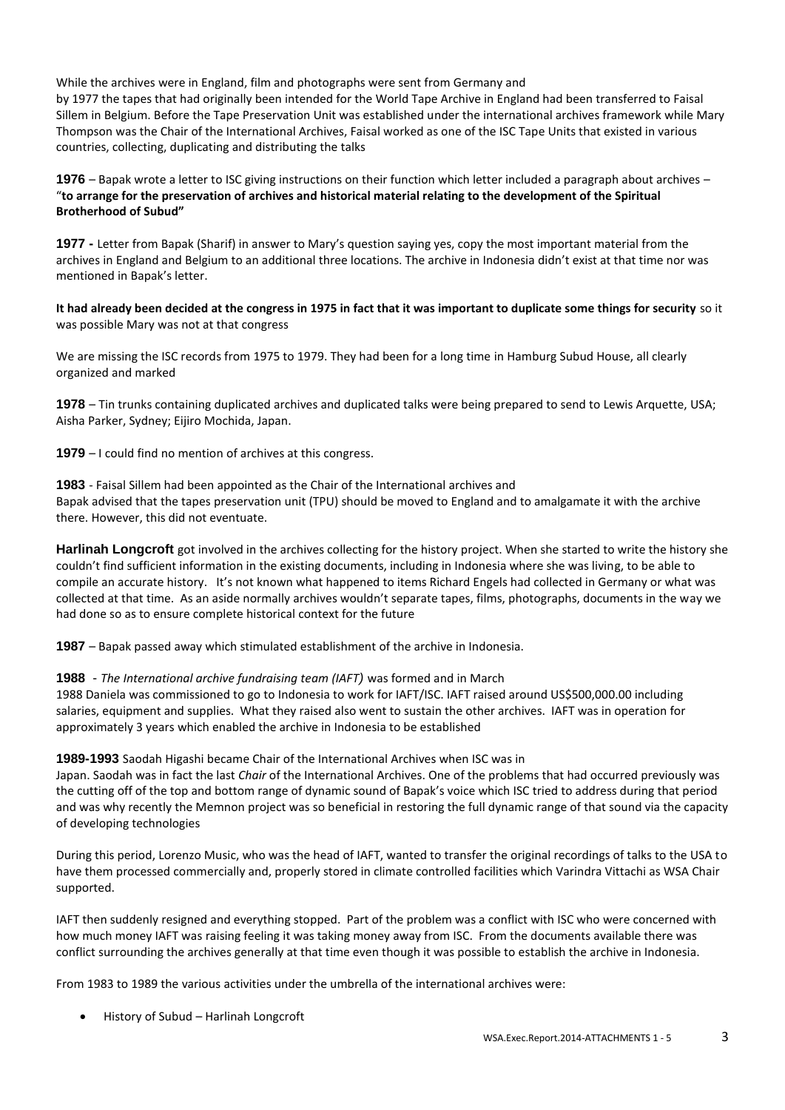While the archives were in England, film and photographs were sent from Germany and by 1977 the tapes that had originally been intended for the World Tape Archive in England had been transferred to Faisal Sillem in Belgium. Before the Tape Preservation Unit was established under the international archives framework while Mary Thompson was the Chair of the International Archives, Faisal worked as one of the ISC Tape Units that existed in various countries, collecting, duplicating and distributing the talks

**1976** – Bapak wrote a letter to ISC giving instructions on their function which letter included a paragraph about archives – "**to arrange for the preservation of archives and historical material relating to the development of the Spiritual Brotherhood of Subud"** 

**1977 -** Letter from Bapak (Sharif) in answer to Mary's question saying yes, copy the most important material from the archives in England and Belgium to an additional three locations. The archive in Indonesia didn't exist at that time nor was mentioned in Bapak's letter.

**It had already been decided at the congress in 1975 in fact that it was important to duplicate some things for security** so it was possible Mary was not at that congress

We are missing the ISC records from 1975 to 1979. They had been for a long time in Hamburg Subud House, all clearly organized and marked

**1978** – Tin trunks containing duplicated archives and duplicated talks were being prepared to send to Lewis Arquette, USA; Aisha Parker, Sydney; Eijiro Mochida, Japan.

**1979** – I could find no mention of archives at this congress.

**1983** - Faisal Sillem had been appointed as the Chair of the International archives and Bapak advised that the tapes preservation unit (TPU) should be moved to England and to amalgamate it with the archive there. However, this did not eventuate.

**Harlinah Longcroft** got involved in the archives collecting for the history project. When she started to write the history she couldn't find sufficient information in the existing documents, including in Indonesia where she was living, to be able to compile an accurate history. It's not known what happened to items Richard Engels had collected in Germany or what was collected at that time. As an aside normally archives wouldn't separate tapes, films, photographs, documents in the way we had done so as to ensure complete historical context for the future

**1987** – Bapak passed away which stimulated establishment of the archive in Indonesia.

**1988** - *The International archive fundraising team (IAFT)* was formed and in March

1988 Daniela was commissioned to go to Indonesia to work for IAFT/ISC. IAFT raised around US\$500,000.00 including salaries, equipment and supplies. What they raised also went to sustain the other archives. IAFT was in operation for approximately 3 years which enabled the archive in Indonesia to be established

**1989-1993** Saodah Higashi became Chair of the International Archives when ISC was in

Japan. Saodah was in fact the last *Chair* of the International Archives. One of the problems that had occurred previously was the cutting off of the top and bottom range of dynamic sound of Bapak's voice which ISC tried to address during that period and was why recently the Memnon project was so beneficial in restoring the full dynamic range of that sound via the capacity of developing technologies

During this period, Lorenzo Music, who was the head of IAFT, wanted to transfer the original recordings of talks to the USA to have them processed commercially and, properly stored in climate controlled facilities which Varindra Vittachi as WSA Chair supported.

IAFT then suddenly resigned and everything stopped. Part of the problem was a conflict with ISC who were concerned with how much money IAFT was raising feeling it was taking money away from ISC. From the documents available there was conflict surrounding the archives generally at that time even though it was possible to establish the archive in Indonesia.

From 1983 to 1989 the various activities under the umbrella of the international archives were:

History of Subud – Harlinah Longcroft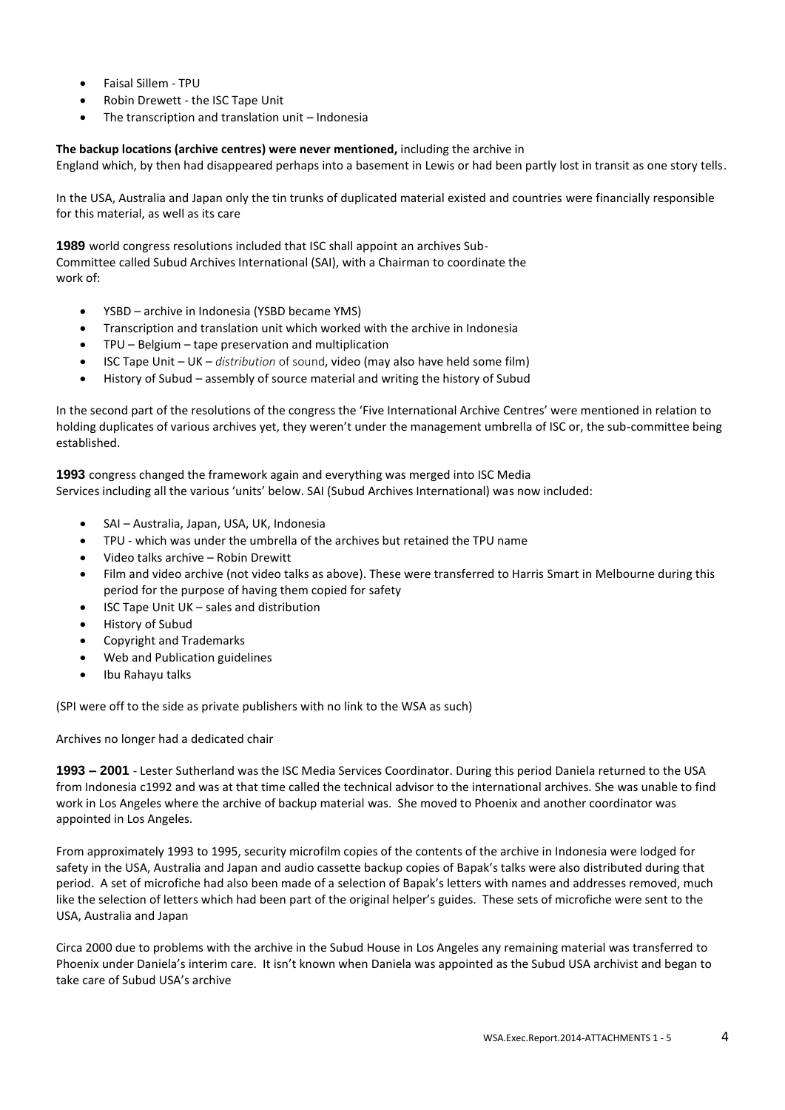- Faisal Sillem TPU
- Robin Drewett the ISC Tape Unit
- The transcription and translation unit Indonesia

**The backup locations (archive centres) were never mentioned,** including the archive in

England which, by then had disappeared perhaps into a basement in Lewis or had been partly lost in transit as one story tells.

In the USA, Australia and Japan only the tin trunks of duplicated material existed and countries were financially responsible for this material, as well as its care

**1989** world congress resolutions included that ISC shall appoint an archives Sub-Committee called Subud Archives International (SAI), with a Chairman to coordinate the work of:

- YSBD archive in Indonesia (YSBD became YMS)
- Transcription and translation unit which worked with the archive in Indonesia
- TPU Belgium tape preservation and multiplication
- ISC Tape Unit UK *distribution* of sound, video (may also have held some film)
- History of Subud assembly of source material and writing the history of Subud

In the second part of the resolutions of the congress the 'Five International Archive Centres' were mentioned in relation to holding duplicates of various archives yet, they weren't under the management umbrella of ISC or, the sub-committee being established.

**1993** congress changed the framework again and everything was merged into ISC Media Services including all the various 'units' below. SAI (Subud Archives International) was now included:

- SAI Australia, Japan, USA, UK, Indonesia
- TPU which was under the umbrella of the archives but retained the TPU name
- Video talks archive Robin Drewitt
- Film and video archive (not video talks as above). These were transferred to Harris Smart in Melbourne during this period for the purpose of having them copied for safety
- ISC Tape Unit UK sales and distribution
- History of Subud
- Copyright and Trademarks
- Web and Publication guidelines
- Ibu Rahayu talks

(SPI were off to the side as private publishers with no link to the WSA as such)

Archives no longer had a dedicated chair

**1993 – 2001** - Lester Sutherland was the ISC Media Services Coordinator. During this period Daniela returned to the USA from Indonesia c1992 and was at that time called the technical advisor to the international archives. She was unable to find work in Los Angeles where the archive of backup material was. She moved to Phoenix and another coordinator was appointed in Los Angeles.

From approximately 1993 to 1995, security microfilm copies of the contents of the archive in Indonesia were lodged for safety in the USA, Australia and Japan and audio cassette backup copies of Bapak's talks were also distributed during that period. A set of microfiche had also been made of a selection of Bapak's letters with names and addresses removed, much like the selection of letters which had been part of the original helper's guides. These sets of microfiche were sent to the USA, Australia and Japan

Circa 2000 due to problems with the archive in the Subud House in Los Angeles any remaining material was transferred to Phoenix under Daniela's interim care. It isn't known when Daniela was appointed as the Subud USA archivist and began to take care of Subud USA's archive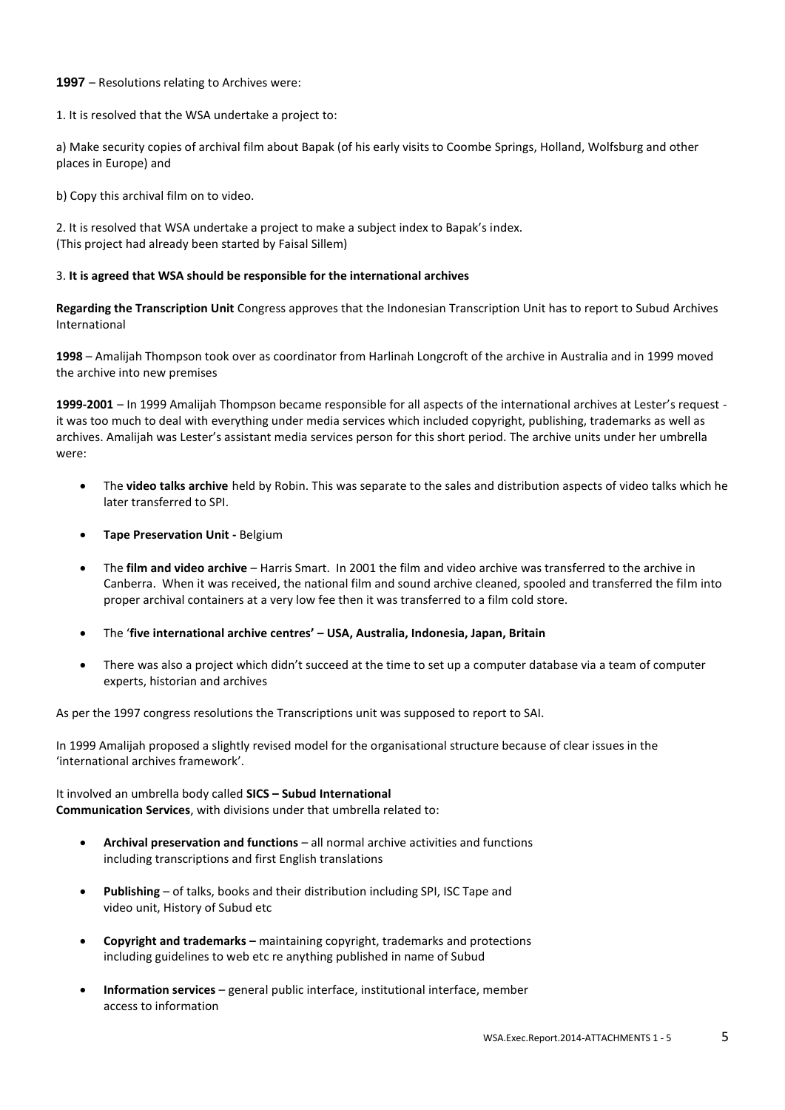#### **1997** – Resolutions relating to Archives were:

1. It is resolved that the WSA undertake a project to:

a) Make security copies of archival film about Bapak (of his early visits to Coombe Springs, Holland, Wolfsburg and other places in Europe) and

b) Copy this archival film on to video.

2. It is resolved that WSA undertake a project to make a subject index to Bapak's index. (This project had already been started by Faisal Sillem)

#### 3. **It is agreed that WSA should be responsible for the international archives**

**Regarding the Transcription Unit** Congress approves that the Indonesian Transcription Unit has to report to Subud Archives International

**1998** – Amalijah Thompson took over as coordinator from Harlinah Longcroft of the archive in Australia and in 1999 moved the archive into new premises

**1999-2001** – In 1999 Amalijah Thompson became responsible for all aspects of the international archives at Lester's request it was too much to deal with everything under media services which included copyright, publishing, trademarks as well as archives. Amalijah was Lester's assistant media services person for this short period. The archive units under her umbrella were:

- The **video talks archive** held by Robin. This was separate to the sales and distribution aspects of video talks which he later transferred to SPI.
- **Tape Preservation Unit -** Belgium
- The **film and video archive**  Harris Smart. In 2001 the film and video archive was transferred to the archive in Canberra. When it was received, the national film and sound archive cleaned, spooled and transferred the film into proper archival containers at a very low fee then it was transferred to a film cold store.
- The '**five international archive centres' – USA, Australia, Indonesia, Japan, Britain**
- There was also a project which didn't succeed at the time to set up a computer database via a team of computer experts, historian and archives

As per the 1997 congress resolutions the Transcriptions unit was supposed to report to SAI.

In 1999 Amalijah proposed a slightly revised model for the organisational structure because of clear issues in the 'international archives framework'.

It involved an umbrella body called **SICS – Subud International Communication Services**, with divisions under that umbrella related to:

- **Archival preservation and functions**  all normal archive activities and functions including transcriptions and first English translations
- **Publishing**  of talks, books and their distribution including SPI, ISC Tape and video unit, History of Subud etc
- **Copyright and trademarks –** maintaining copyright, trademarks and protections including guidelines to web etc re anything published in name of Subud
- **Information services**  general public interface, institutional interface, member access to information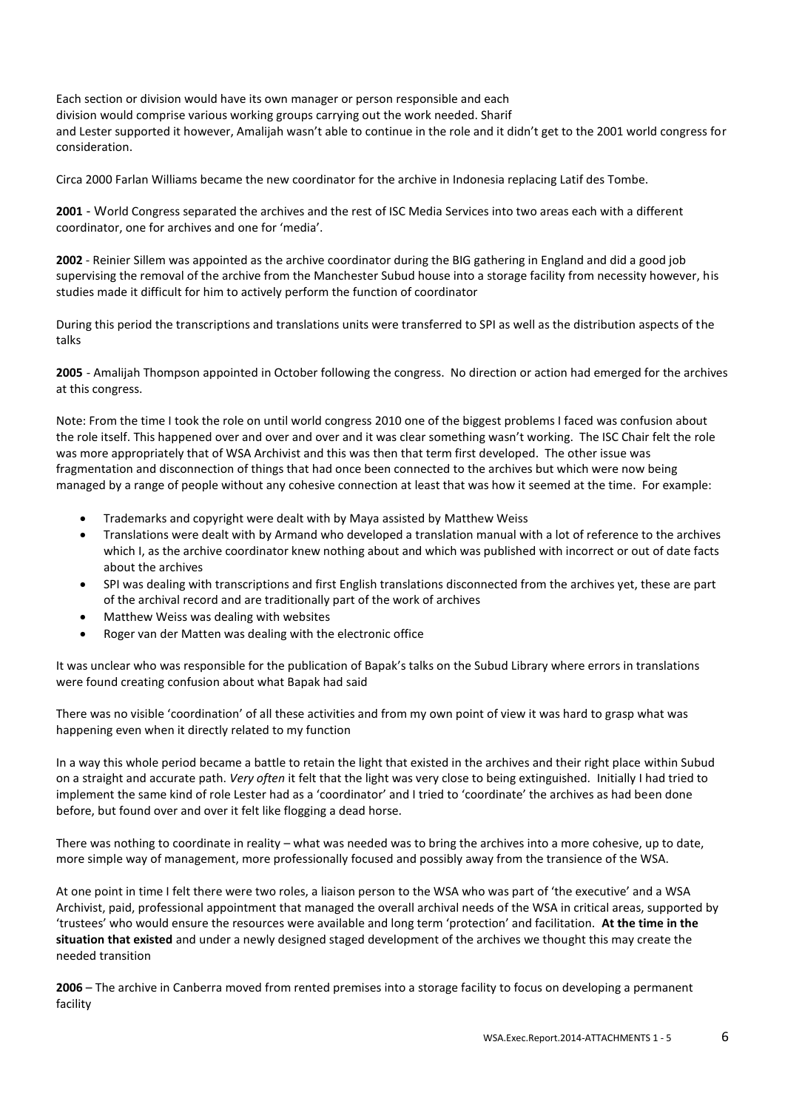Each section or division would have its own manager or person responsible and each division would comprise various working groups carrying out the work needed. Sharif and Lester supported it however, Amalijah wasn't able to continue in the role and it didn't get to the 2001 world congress for consideration.

Circa 2000 Farlan Williams became the new coordinator for the archive in Indonesia replacing Latif des Tombe.

**2001** - World Congress separated the archives and the rest of ISC Media Services into two areas each with a different coordinator, one for archives and one for 'media'.

**2002** - Reinier Sillem was appointed as the archive coordinator during the BIG gathering in England and did a good job supervising the removal of the archive from the Manchester Subud house into a storage facility from necessity however, his studies made it difficult for him to actively perform the function of coordinator

During this period the transcriptions and translations units were transferred to SPI as well as the distribution aspects of the talks

**2005** - Amalijah Thompson appointed in October following the congress. No direction or action had emerged for the archives at this congress.

Note: From the time I took the role on until world congress 2010 one of the biggest problems I faced was confusion about the role itself. This happened over and over and over and it was clear something wasn't working. The ISC Chair felt the role was more appropriately that of WSA Archivist and this was then that term first developed. The other issue was fragmentation and disconnection of things that had once been connected to the archives but which were now being managed by a range of people without any cohesive connection at least that was how it seemed at the time. For example:

- Trademarks and copyright were dealt with by Maya assisted by Matthew Weiss
- Translations were dealt with by Armand who developed a translation manual with a lot of reference to the archives which I, as the archive coordinator knew nothing about and which was published with incorrect or out of date facts about the archives
- SPI was dealing with transcriptions and first English translations disconnected from the archives yet, these are part of the archival record and are traditionally part of the work of archives
- Matthew Weiss was dealing with websites
- Roger van der Matten was dealing with the electronic office

It was unclear who was responsible for the publication of Bapak's talks on the Subud Library where errors in translations were found creating confusion about what Bapak had said

There was no visible 'coordination' of all these activities and from my own point of view it was hard to grasp what was happening even when it directly related to my function

In a way this whole period became a battle to retain the light that existed in the archives and their right place within Subud on a straight and accurate path. *Very often* it felt that the light was very close to being extinguished. Initially I had tried to implement the same kind of role Lester had as a 'coordinator' and I tried to 'coordinate' the archives as had been done before, but found over and over it felt like flogging a dead horse.

There was nothing to coordinate in reality – what was needed was to bring the archives into a more cohesive, up to date, more simple way of management, more professionally focused and possibly away from the transience of the WSA.

At one point in time I felt there were two roles, a liaison person to the WSA who was part of 'the executive' and a WSA Archivist, paid, professional appointment that managed the overall archival needs of the WSA in critical areas, supported by 'trustees' who would ensure the resources were available and long term 'protection' and facilitation. **At the time in the situation that existed** and under a newly designed staged development of the archives we thought this may create the needed transition

**2006** – The archive in Canberra moved from rented premises into a storage facility to focus on developing a permanent facility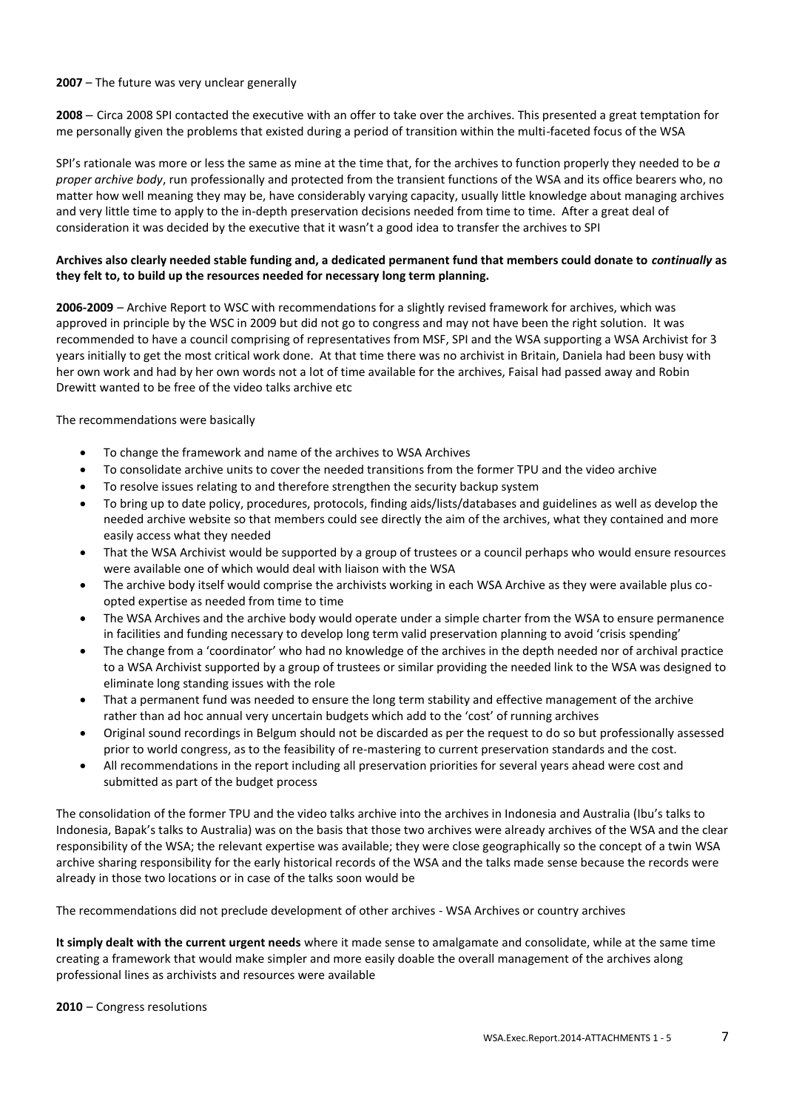#### **2007** – The future was very unclear generally

**2008** – Circa 2008 SPI contacted the executive with an offer to take over the archives. This presented a great temptation for me personally given the problems that existed during a period of transition within the multi-faceted focus of the WSA

SPI's rationale was more or less the same as mine at the time that, for the archives to function properly they needed to be *a proper archive body*, run professionally and protected from the transient functions of the WSA and its office bearers who, no matter how well meaning they may be, have considerably varying capacity, usually little knowledge about managing archives and very little time to apply to the in-depth preservation decisions needed from time to time. After a great deal of consideration it was decided by the executive that it wasn't a good idea to transfer the archives to SPI

### **Archives also clearly needed stable funding and, a dedicated permanent fund that members could donate to** *continually* **as they felt to, to build up the resources needed for necessary long term planning.**

**2006-2009** – Archive Report to WSC with recommendations for a slightly revised framework for archives, which was approved in principle by the WSC in 2009 but did not go to congress and may not have been the right solution. It was recommended to have a council comprising of representatives from MSF, SPI and the WSA supporting a WSA Archivist for 3 years initially to get the most critical work done. At that time there was no archivist in Britain, Daniela had been busy with her own work and had by her own words not a lot of time available for the archives, Faisal had passed away and Robin Drewitt wanted to be free of the video talks archive etc

The recommendations were basically

- To change the framework and name of the archives to WSA Archives
- To consolidate archive units to cover the needed transitions from the former TPU and the video archive
- To resolve issues relating to and therefore strengthen the security backup system
- To bring up to date policy, procedures, protocols, finding aids/lists/databases and guidelines as well as develop the needed archive website so that members could see directly the aim of the archives, what they contained and more easily access what they needed
- That the WSA Archivist would be supported by a group of trustees or a council perhaps who would ensure resources were available one of which would deal with liaison with the WSA
- The archive body itself would comprise the archivists working in each WSA Archive as they were available plus coopted expertise as needed from time to time
- The WSA Archives and the archive body would operate under a simple charter from the WSA to ensure permanence in facilities and funding necessary to develop long term valid preservation planning to avoid 'crisis spending'
- The change from a 'coordinator' who had no knowledge of the archives in the depth needed nor of archival practice to a WSA Archivist supported by a group of trustees or similar providing the needed link to the WSA was designed to eliminate long standing issues with the role
- That a permanent fund was needed to ensure the long term stability and effective management of the archive rather than ad hoc annual very uncertain budgets which add to the 'cost' of running archives
- Original sound recordings in Belgum should not be discarded as per the request to do so but professionally assessed prior to world congress, as to the feasibility of re-mastering to current preservation standards and the cost.
- All recommendations in the report including all preservation priorities for several years ahead were cost and submitted as part of the budget process

The consolidation of the former TPU and the video talks archive into the archives in Indonesia and Australia (Ibu's talks to Indonesia, Bapak's talks to Australia) was on the basis that those two archives were already archives of the WSA and the clear responsibility of the WSA; the relevant expertise was available; they were close geographically so the concept of a twin WSA archive sharing responsibility for the early historical records of the WSA and the talks made sense because the records were already in those two locations or in case of the talks soon would be

The recommendations did not preclude development of other archives - WSA Archives or country archives

**It simply dealt with the current urgent needs** where it made sense to amalgamate and consolidate, while at the same time creating a framework that would make simpler and more easily doable the overall management of the archives along professional lines as archivists and resources were available

#### **2010** – Congress resolutions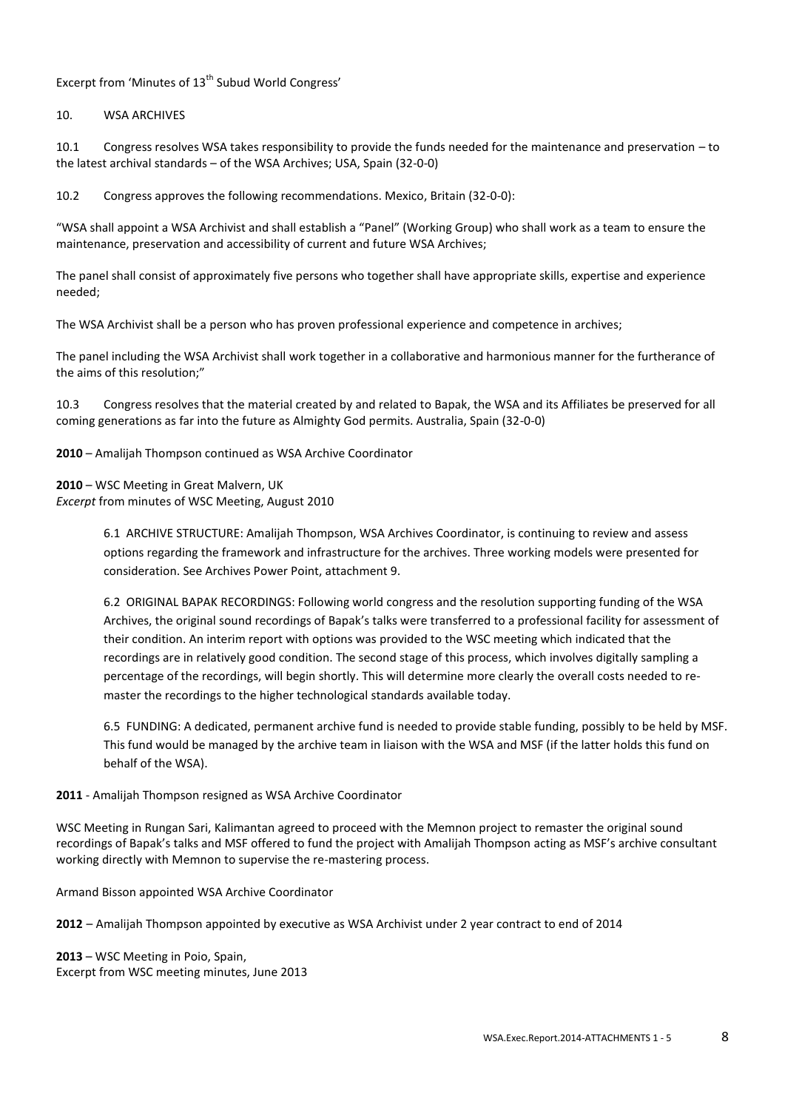# Excerpt from 'Minutes of 13<sup>th</sup> Subud World Congress'

#### 10. WSA ARCHIVES

10.1 Congress resolves WSA takes responsibility to provide the funds needed for the maintenance and preservation – to the latest archival standards – of the WSA Archives; USA, Spain (32-0-0)

10.2 Congress approves the following recommendations. Mexico, Britain (32-0-0):

"WSA shall appoint a WSA Archivist and shall establish a "Panel" (Working Group) who shall work as a team to ensure the maintenance, preservation and accessibility of current and future WSA Archives;

The panel shall consist of approximately five persons who together shall have appropriate skills, expertise and experience needed;

The WSA Archivist shall be a person who has proven professional experience and competence in archives;

The panel including the WSA Archivist shall work together in a collaborative and harmonious manner for the furtherance of the aims of this resolution;"

10.3 Congress resolves that the material created by and related to Bapak, the WSA and its Affiliates be preserved for all coming generations as far into the future as Almighty God permits. Australia, Spain (32-0-0)

**2010** – Amalijah Thompson continued as WSA Archive Coordinator

**2010** – WSC Meeting in Great Malvern, UK *Excerpt* from minutes of WSC Meeting, August 2010

> 6.1 ARCHIVE STRUCTURE: Amalijah Thompson, WSA Archives Coordinator, is continuing to review and assess options regarding the framework and infrastructure for the archives. Three working models were presented for consideration. See Archives Power Point, attachment 9.

6.2 ORIGINAL BAPAK RECORDINGS: Following world congress and the resolution supporting funding of the WSA Archives, the original sound recordings of Bapak's talks were transferred to a professional facility for assessment of their condition. An interim report with options was provided to the WSC meeting which indicated that the recordings are in relatively good condition. The second stage of this process, which involves digitally sampling a percentage of the recordings, will begin shortly. This will determine more clearly the overall costs needed to remaster the recordings to the higher technological standards available today.

6.5 FUNDING: A dedicated, permanent archive fund is needed to provide stable funding, possibly to be held by MSF. This fund would be managed by the archive team in liaison with the WSA and MSF (if the latter holds this fund on behalf of the WSA).

#### **2011** - Amalijah Thompson resigned as WSA Archive Coordinator

WSC Meeting in Rungan Sari, Kalimantan agreed to proceed with the Memnon project to remaster the original sound recordings of Bapak's talks and MSF offered to fund the project with Amalijah Thompson acting as MSF's archive consultant working directly with Memnon to supervise the re-mastering process.

Armand Bisson appointed WSA Archive Coordinator

**2012** – Amalijah Thompson appointed by executive as WSA Archivist under 2 year contract to end of 2014

**2013** – WSC Meeting in Poio, Spain, Excerpt from WSC meeting minutes, June 2013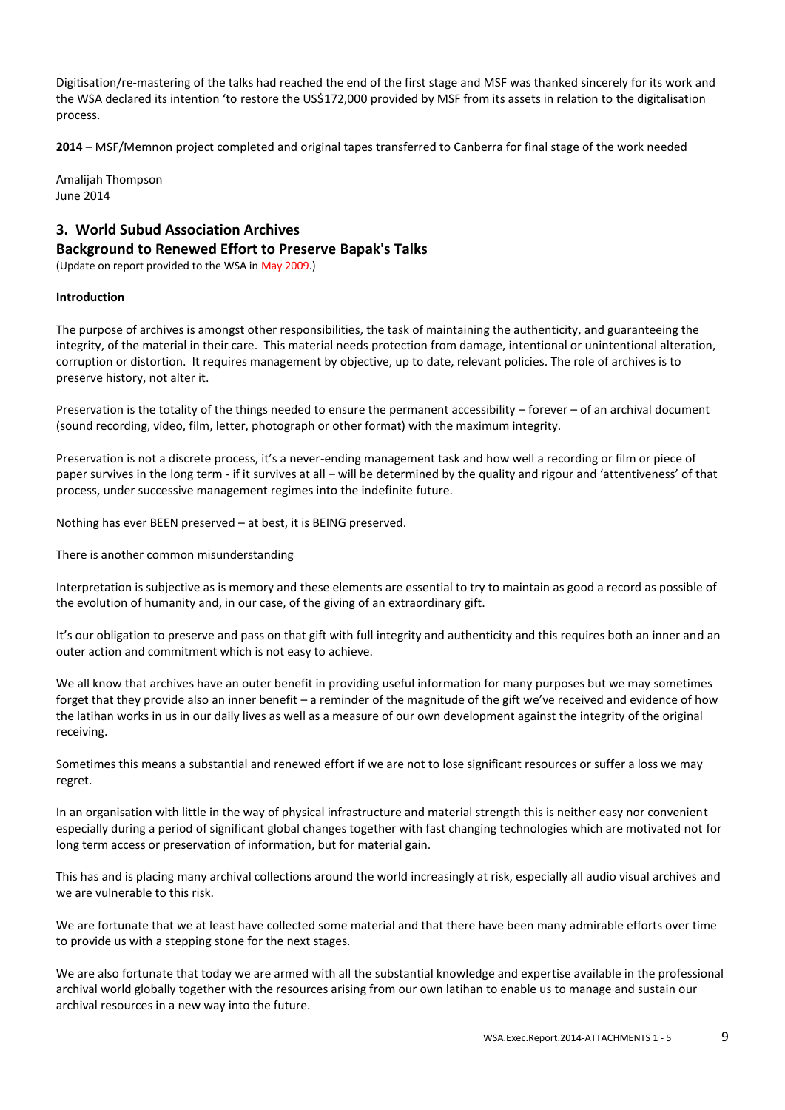Digitisation/re-mastering of the talks had reached the end of the first stage and MSF was thanked sincerely for its work and the WSA declared its intention 'to restore the US\$172,000 provided by MSF from its assets in relation to the digitalisation process.

**2014** – MSF/Memnon project completed and original tapes transferred to Canberra for final stage of the work needed

Amalijah Thompson June 2014

# **3. World Subud Association Archives Background to Renewed Effort to Preserve Bapak's Talks**

(Update on report provided to the WSA in May 2009.)

### **Introduction**

The purpose of archives is amongst other responsibilities, the task of maintaining the authenticity, and guaranteeing the integrity, of the material in their care. This material needs protection from damage, intentional or unintentional alteration, corruption or distortion. It requires management by objective, up to date, relevant policies. The role of archives is to preserve history, not alter it.

Preservation is the totality of the things needed to ensure the permanent accessibility – forever – of an archival document (sound recording, video, film, letter, photograph or other format) with the maximum integrity.

Preservation is not a discrete process, it's a never-ending management task and how well a recording or film or piece of paper survives in the long term - if it survives at all – will be determined by the quality and rigour and 'attentiveness' of that process, under successive management regimes into the indefinite future.

Nothing has ever BEEN preserved – at best, it is BEING preserved.

There is another common misunderstanding

Interpretation is subjective as is memory and these elements are essential to try to maintain as good a record as possible of the evolution of humanity and, in our case, of the giving of an extraordinary gift.

It's our obligation to preserve and pass on that gift with full integrity and authenticity and this requires both an inner and an outer action and commitment which is not easy to achieve.

We all know that archives have an outer benefit in providing useful information for many purposes but we may sometimes forget that they provide also an inner benefit – a reminder of the magnitude of the gift we've received and evidence of how the latihan works in us in our daily lives as well as a measure of our own development against the integrity of the original receiving.

Sometimes this means a substantial and renewed effort if we are not to lose significant resources or suffer a loss we may regret.

In an organisation with little in the way of physical infrastructure and material strength this is neither easy nor convenient especially during a period of significant global changes together with fast changing technologies which are motivated not for long term access or preservation of information, but for material gain.

This has and is placing many archival collections around the world increasingly at risk, especially all audio visual archives and we are vulnerable to this risk.

We are fortunate that we at least have collected some material and that there have been many admirable efforts over time to provide us with a stepping stone for the next stages.

We are also fortunate that today we are armed with all the substantial knowledge and expertise available in the professional archival world globally together with the resources arising from our own latihan to enable us to manage and sustain our archival resources in a new way into the future.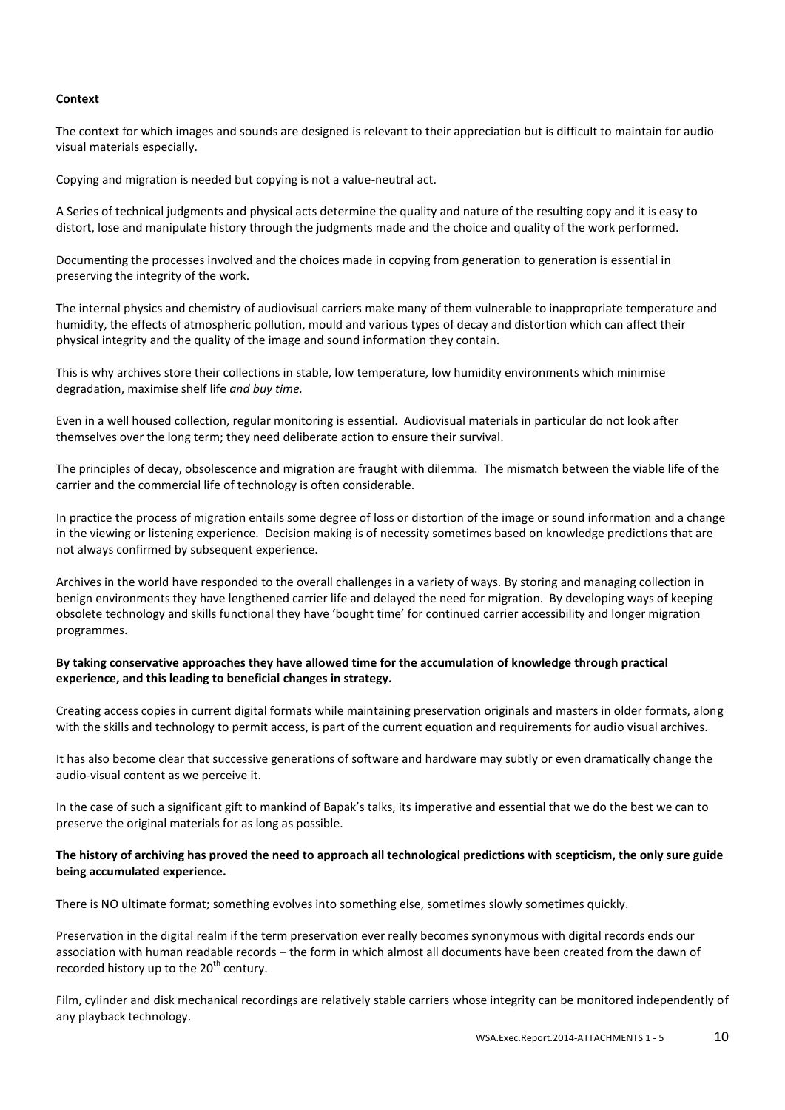#### **Context**

The context for which images and sounds are designed is relevant to their appreciation but is difficult to maintain for audio visual materials especially.

Copying and migration is needed but copying is not a value-neutral act.

A Series of technical judgments and physical acts determine the quality and nature of the resulting copy and it is easy to distort, lose and manipulate history through the judgments made and the choice and quality of the work performed.

Documenting the processes involved and the choices made in copying from generation to generation is essential in preserving the integrity of the work.

The internal physics and chemistry of audiovisual carriers make many of them vulnerable to inappropriate temperature and humidity, the effects of atmospheric pollution, mould and various types of decay and distortion which can affect their physical integrity and the quality of the image and sound information they contain.

This is why archives store their collections in stable, low temperature, low humidity environments which minimise degradation, maximise shelf life *and buy time.*

Even in a well housed collection, regular monitoring is essential. Audiovisual materials in particular do not look after themselves over the long term; they need deliberate action to ensure their survival.

The principles of decay, obsolescence and migration are fraught with dilemma. The mismatch between the viable life of the carrier and the commercial life of technology is often considerable.

In practice the process of migration entails some degree of loss or distortion of the image or sound information and a change in the viewing or listening experience. Decision making is of necessity sometimes based on knowledge predictions that are not always confirmed by subsequent experience.

Archives in the world have responded to the overall challenges in a variety of ways. By storing and managing collection in benign environments they have lengthened carrier life and delayed the need for migration. By developing ways of keeping obsolete technology and skills functional they have 'bought time' for continued carrier accessibility and longer migration programmes.

### **By taking conservative approaches they have allowed time for the accumulation of knowledge through practical experience, and this leading to beneficial changes in strategy.**

Creating access copies in current digital formats while maintaining preservation originals and masters in older formats, along with the skills and technology to permit access, is part of the current equation and requirements for audio visual archives.

It has also become clear that successive generations of software and hardware may subtly or even dramatically change the audio-visual content as we perceive it.

In the case of such a significant gift to mankind of Bapak's talks, its imperative and essential that we do the best we can to preserve the original materials for as long as possible.

### **The history of archiving has proved the need to approach all technological predictions with scepticism, the only sure guide being accumulated experience.**

There is NO ultimate format; something evolves into something else, sometimes slowly sometimes quickly.

Preservation in the digital realm if the term preservation ever really becomes synonymous with digital records ends our association with human readable records – the form in which almost all documents have been created from the dawn of recorded history up to the  $20<sup>th</sup>$  century.

Film, cylinder and disk mechanical recordings are relatively stable carriers whose integrity can be monitored independently of any playback technology.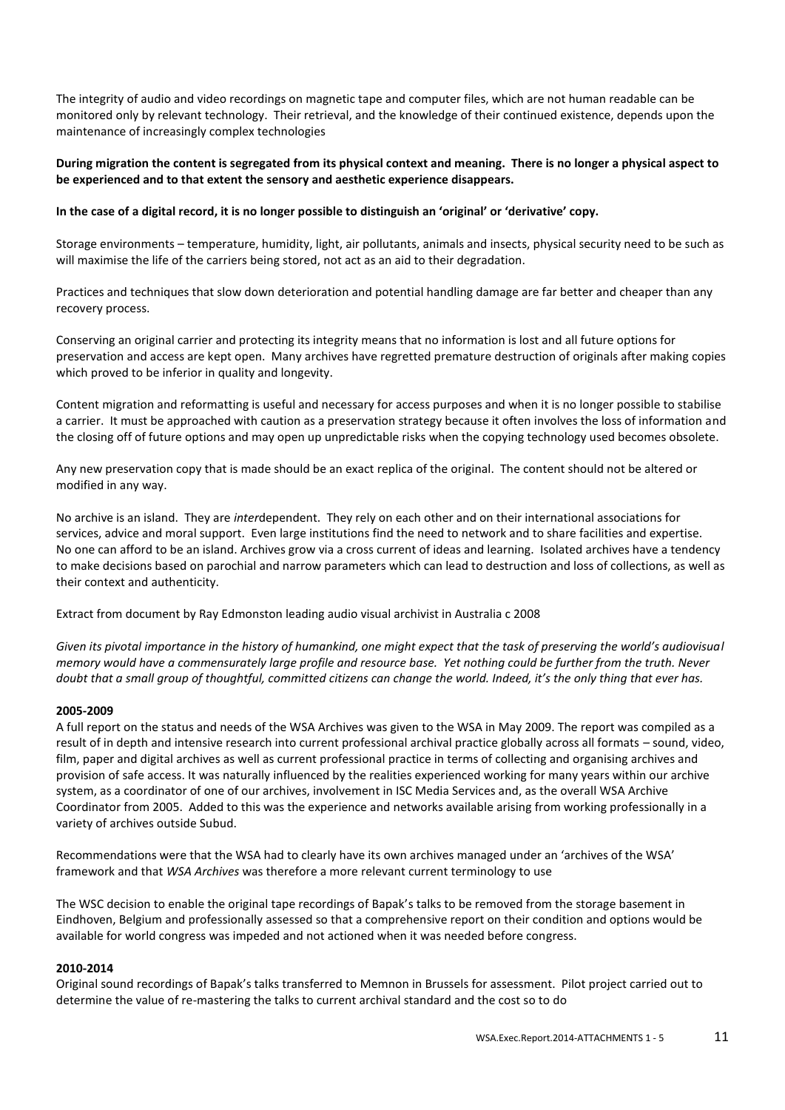The integrity of audio and video recordings on magnetic tape and computer files, which are not human readable can be monitored only by relevant technology. Their retrieval, and the knowledge of their continued existence, depends upon the maintenance of increasingly complex technologies

#### **During migration the content is segregated from its physical context and meaning. There is no longer a physical aspect to be experienced and to that extent the sensory and aesthetic experience disappears.**

## **In the case of a digital record, it is no longer possible to distinguish an 'original' or 'derivative' copy.**

Storage environments – temperature, humidity, light, air pollutants, animals and insects, physical security need to be such as will maximise the life of the carriers being stored, not act as an aid to their degradation.

Practices and techniques that slow down deterioration and potential handling damage are far better and cheaper than any recovery process.

Conserving an original carrier and protecting its integrity means that no information is lost and all future options for preservation and access are kept open. Many archives have regretted premature destruction of originals after making copies which proved to be inferior in quality and longevity.

Content migration and reformatting is useful and necessary for access purposes and when it is no longer possible to stabilise a carrier. It must be approached with caution as a preservation strategy because it often involves the loss of information and the closing off of future options and may open up unpredictable risks when the copying technology used becomes obsolete.

Any new preservation copy that is made should be an exact replica of the original. The content should not be altered or modified in any way.

No archive is an island. They are *inter*dependent. They rely on each other and on their international associations for services, advice and moral support. Even large institutions find the need to network and to share facilities and expertise. No one can afford to be an island. Archives grow via a cross current of ideas and learning. Isolated archives have a tendency to make decisions based on parochial and narrow parameters which can lead to destruction and loss of collections, as well as their context and authenticity.

Extract from document by Ray Edmonston leading audio visual archivist in Australia c 2008

*Given its pivotal importance in the history of humankind, one might expect that the task of preserving the world's audiovisual memory would have a commensurately large profile and resource base. Yet nothing could be further from the truth. Never doubt that a small group of thoughtful, committed citizens can change the world. Indeed, it's the only thing that ever has.* 

#### **2005-2009**

A full report on the status and needs of the WSA Archives was given to the WSA in May 2009. The report was compiled as a result of in depth and intensive research into current professional archival practice globally across all formats – sound, video, film, paper and digital archives as well as current professional practice in terms of collecting and organising archives and provision of safe access. It was naturally influenced by the realities experienced working for many years within our archive system, as a coordinator of one of our archives, involvement in ISC Media Services and, as the overall WSA Archive Coordinator from 2005. Added to this was the experience and networks available arising from working professionally in a variety of archives outside Subud.

Recommendations were that the WSA had to clearly have its own archives managed under an 'archives of the WSA' framework and that *WSA Archives* was therefore a more relevant current terminology to use

The WSC decision to enable the original tape recordings of Bapak's talks to be removed from the storage basement in Eindhoven, Belgium and professionally assessed so that a comprehensive report on their condition and options would be available for world congress was impeded and not actioned when it was needed before congress.

#### **2010-2014**

Original sound recordings of Bapak's talks transferred to Memnon in Brussels for assessment. Pilot project carried out to determine the value of re-mastering the talks to current archival standard and the cost so to do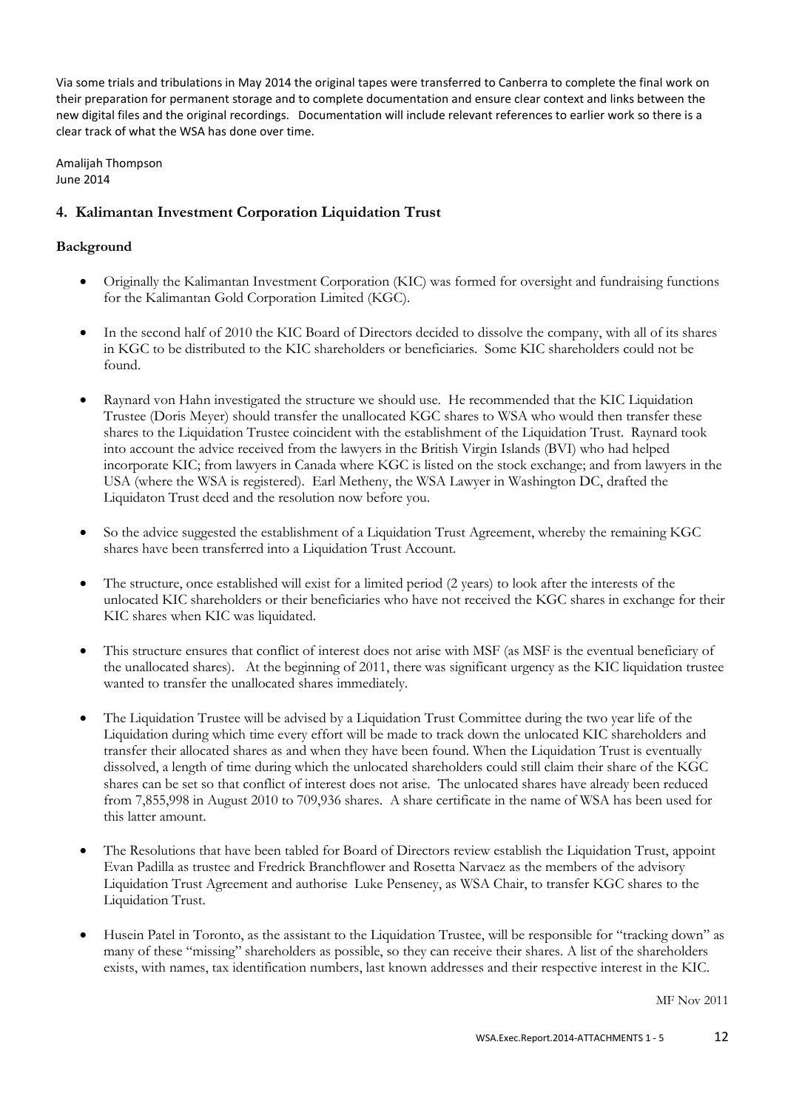Via some trials and tribulations in May 2014 the original tapes were transferred to Canberra to complete the final work on their preparation for permanent storage and to complete documentation and ensure clear context and links between the new digital files and the original recordings. Documentation will include relevant references to earlier work so there is a clear track of what the WSA has done over time.

Amalijah Thompson June 2014

# **4. Kalimantan Investment Corporation Liquidation Trust**

# **Background**

- Originally the Kalimantan Investment Corporation (KIC) was formed for oversight and fundraising functions for the Kalimantan Gold Corporation Limited (KGC).
- In the second half of 2010 the KIC Board of Directors decided to dissolve the company, with all of its shares in KGC to be distributed to the KIC shareholders or beneficiaries. Some KIC shareholders could not be found.
- Raynard von Hahn investigated the structure we should use. He recommended that the KIC Liquidation Trustee (Doris Meyer) should transfer the unallocated KGC shares to WSA who would then transfer these shares to the Liquidation Trustee coincident with the establishment of the Liquidation Trust. Raynard took into account the advice received from the lawyers in the British Virgin Islands (BVI) who had helped incorporate KIC; from lawyers in Canada where KGC is listed on the stock exchange; and from lawyers in the USA (where the WSA is registered). Earl Metheny, the WSA Lawyer in Washington DC, drafted the Liquidaton Trust deed and the resolution now before you.
- So the advice suggested the establishment of a Liquidation Trust Agreement, whereby the remaining KGC shares have been transferred into a Liquidation Trust Account.
- The structure, once established will exist for a limited period (2 years) to look after the interests of the unlocated KIC shareholders or their beneficiaries who have not received the KGC shares in exchange for their KIC shares when KIC was liquidated.
- This structure ensures that conflict of interest does not arise with MSF (as MSF is the eventual beneficiary of the unallocated shares). At the beginning of 2011, there was significant urgency as the KIC liquidation trustee wanted to transfer the unallocated shares immediately.
- The Liquidation Trustee will be advised by a Liquidation Trust Committee during the two year life of the Liquidation during which time every effort will be made to track down the unlocated KIC shareholders and transfer their allocated shares as and when they have been found. When the Liquidation Trust is eventually dissolved, a length of time during which the unlocated shareholders could still claim their share of the KGC shares can be set so that conflict of interest does not arise. The unlocated shares have already been reduced from 7,855,998 in August 2010 to 709,936 shares. A share certificate in the name of WSA has been used for this latter amount.
- The Resolutions that have been tabled for Board of Directors review establish the Liquidation Trust, appoint Evan Padilla as trustee and Fredrick Branchflower and Rosetta Narvaez as the members of the advisory Liquidation Trust Agreement and authorise Luke Penseney, as WSA Chair, to transfer KGC shares to the Liquidation Trust.
- Husein Patel in Toronto, as the assistant to the Liquidation Trustee, will be responsible for "tracking down" as many of these "missing" shareholders as possible, so they can receive their shares. A list of the shareholders exists, with names, tax identification numbers, last known addresses and their respective interest in the KIC.

MF Nov 2011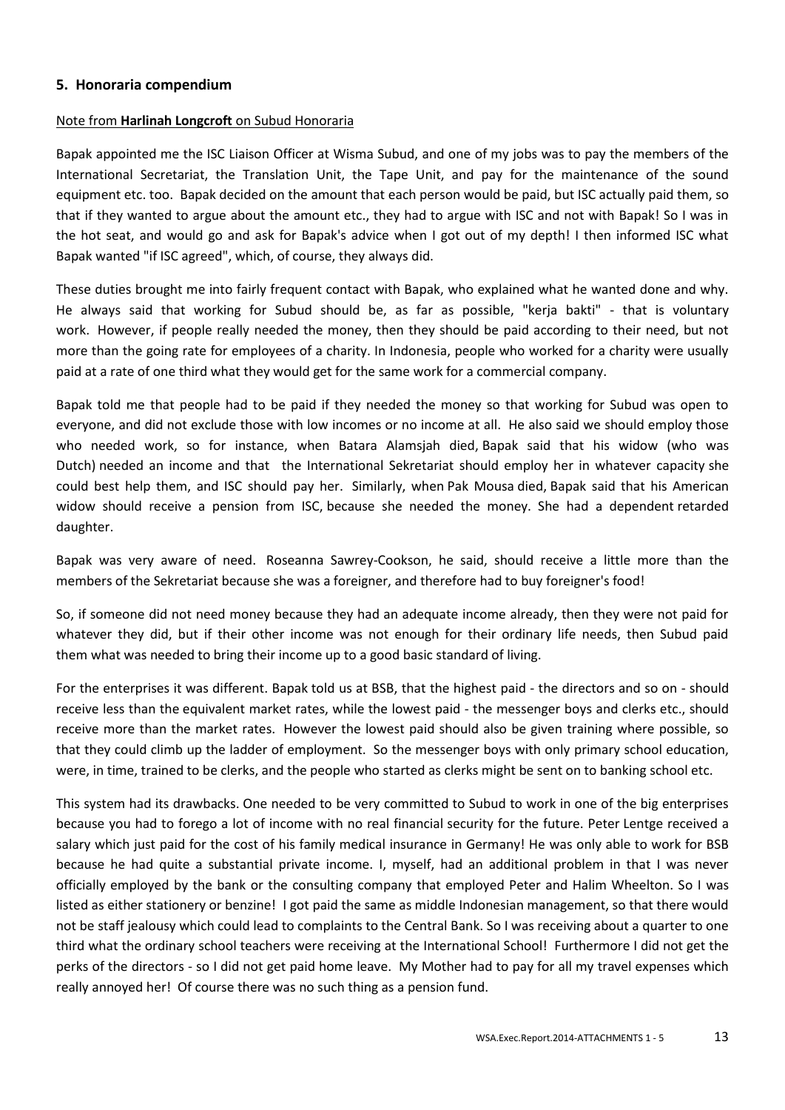## **5. Honoraria compendium**

## Note from **Harlinah Longcroft** on Subud Honoraria

Bapak appointed me the ISC Liaison Officer at Wisma Subud, and one of my jobs was to pay the members of the International Secretariat, the Translation Unit, the Tape Unit, and pay for the maintenance of the sound equipment etc. too. Bapak decided on the amount that each person would be paid, but ISC actually paid them, so that if they wanted to argue about the amount etc., they had to argue with ISC and not with Bapak! So I was in the hot seat, and would go and ask for Bapak's advice when I got out of my depth! I then informed ISC what Bapak wanted "if ISC agreed", which, of course, they always did.

These duties brought me into fairly frequent contact with Bapak, who explained what he wanted done and why. He always said that working for Subud should be, as far as possible, "kerja bakti" - that is voluntary work. However, if people really needed the money, then they should be paid according to their need, but not more than the going rate for employees of a charity. In Indonesia, people who worked for a charity were usually paid at a rate of one third what they would get for the same work for a commercial company.

Bapak told me that people had to be paid if they needed the money so that working for Subud was open to everyone, and did not exclude those with low incomes or no income at all. He also said we should employ those who needed work, so for instance, when Batara Alamsjah died, Bapak said that his widow (who was Dutch) needed an income and that the International Sekretariat should employ her in whatever capacity she could best help them, and ISC should pay her. Similarly, when Pak Mousa died, Bapak said that his American widow should receive a pension from ISC, because she needed the money. She had a dependent retarded daughter.

Bapak was very aware of need. Roseanna Sawrey-Cookson, he said, should receive a little more than the members of the Sekretariat because she was a foreigner, and therefore had to buy foreigner's food!

So, if someone did not need money because they had an adequate income already, then they were not paid for whatever they did, but if their other income was not enough for their ordinary life needs, then Subud paid them what was needed to bring their income up to a good basic standard of living.

For the enterprises it was different. Bapak told us at BSB, that the highest paid - the directors and so on - should receive less than the equivalent market rates, while the lowest paid - the messenger boys and clerks etc., should receive more than the market rates. However the lowest paid should also be given training where possible, so that they could climb up the ladder of employment. So the messenger boys with only primary school education, were, in time, trained to be clerks, and the people who started as clerks might be sent on to banking school etc.

This system had its drawbacks. One needed to be very committed to Subud to work in one of the big enterprises because you had to forego a lot of income with no real financial security for the future. Peter Lentge received a salary which just paid for the cost of his family medical insurance in Germany! He was only able to work for BSB because he had quite a substantial private income. I, myself, had an additional problem in that I was never officially employed by the bank or the consulting company that employed Peter and Halim Wheelton. So I was listed as either stationery or benzine! I got paid the same as middle Indonesian management, so that there would not be staff jealousy which could lead to complaints to the Central Bank. So I was receiving about a quarter to one third what the ordinary school teachers were receiving at the International School! Furthermore I did not get the perks of the directors - so I did not get paid home leave. My Mother had to pay for all my travel expenses which really annoyed her! Of course there was no such thing as a pension fund.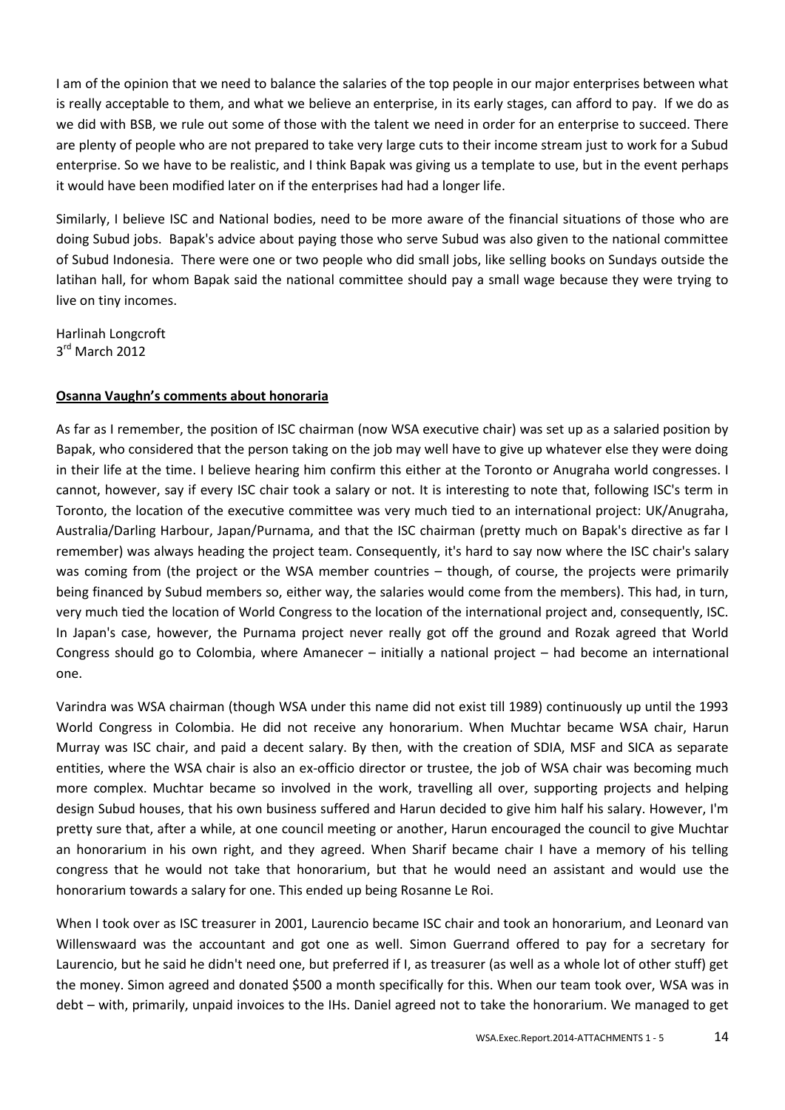I am of the opinion that we need to balance the salaries of the top people in our major enterprises between what is really acceptable to them, and what we believe an enterprise, in its early stages, can afford to pay. If we do as we did with BSB, we rule out some of those with the talent we need in order for an enterprise to succeed. There are plenty of people who are not prepared to take very large cuts to their income stream just to work for a Subud enterprise. So we have to be realistic, and I think Bapak was giving us a template to use, but in the event perhaps it would have been modified later on if the enterprises had had a longer life.

Similarly, I believe ISC and National bodies, need to be more aware of the financial situations of those who are doing Subud jobs. Bapak's advice about paying those who serve Subud was also given to the national committee of Subud Indonesia. There were one or two people who did small jobs, like selling books on Sundays outside the latihan hall, for whom Bapak said the national committee should pay a small wage because they were trying to live on tiny incomes.

Harlinah Longcroft 3 rd March 2012

# **Osanna Vaughn's comments about honoraria**

As far as I remember, the position of ISC chairman (now WSA executive chair) was set up as a salaried position by Bapak, who considered that the person taking on the job may well have to give up whatever else they were doing in their life at the time. I believe hearing him confirm this either at the Toronto or Anugraha world congresses. I cannot, however, say if every ISC chair took a salary or not. It is interesting to note that, following ISC's term in Toronto, the location of the executive committee was very much tied to an international project: UK/Anugraha, Australia/Darling Harbour, Japan/Purnama, and that the ISC chairman (pretty much on Bapak's directive as far I remember) was always heading the project team. Consequently, it's hard to say now where the ISC chair's salary was coming from (the project or the WSA member countries – though, of course, the projects were primarily being financed by Subud members so, either way, the salaries would come from the members). This had, in turn, very much tied the location of World Congress to the location of the international project and, consequently, ISC. In Japan's case, however, the Purnama project never really got off the ground and Rozak agreed that World Congress should go to Colombia, where Amanecer – initially a national project – had become an international one.

Varindra was WSA chairman (though WSA under this name did not exist till 1989) continuously up until the 1993 World Congress in Colombia. He did not receive any honorarium. When Muchtar became WSA chair, Harun Murray was ISC chair, and paid a decent salary. By then, with the creation of SDIA, MSF and SICA as separate entities, where the WSA chair is also an ex-officio director or trustee, the job of WSA chair was becoming much more complex. Muchtar became so involved in the work, travelling all over, supporting projects and helping design Subud houses, that his own business suffered and Harun decided to give him half his salary. However, I'm pretty sure that, after a while, at one council meeting or another, Harun encouraged the council to give Muchtar an honorarium in his own right, and they agreed. When Sharif became chair I have a memory of his telling congress that he would not take that honorarium, but that he would need an assistant and would use the honorarium towards a salary for one. This ended up being Rosanne Le Roi.

When I took over as ISC treasurer in 2001, Laurencio became ISC chair and took an honorarium, and Leonard van Willenswaard was the accountant and got one as well. Simon Guerrand offered to pay for a secretary for Laurencio, but he said he didn't need one, but preferred if I, as treasurer (as well as a whole lot of other stuff) get the money. Simon agreed and donated \$500 a month specifically for this. When our team took over, WSA was in debt – with, primarily, unpaid invoices to the IHs. Daniel agreed not to take the honorarium. We managed to get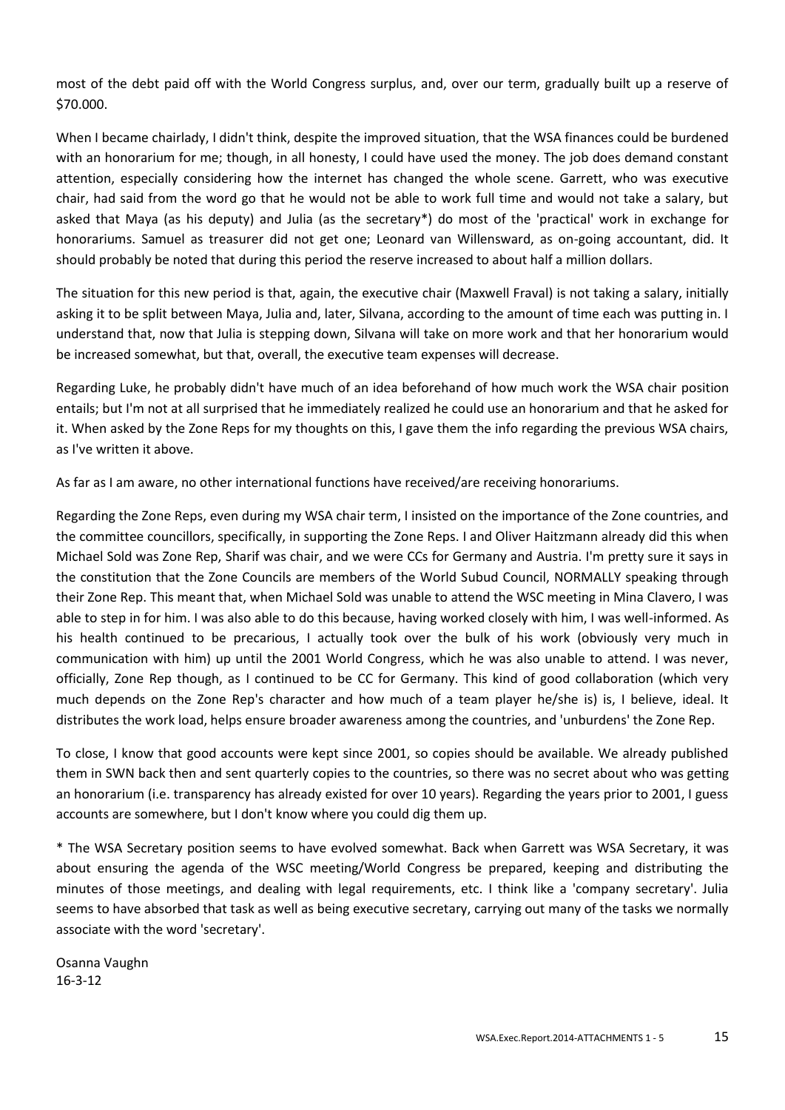most of the debt paid off with the World Congress surplus, and, over our term, gradually built up a reserve of \$70.000.

When I became chairlady, I didn't think, despite the improved situation, that the WSA finances could be burdened with an honorarium for me; though, in all honesty, I could have used the money. The job does demand constant attention, especially considering how the internet has changed the whole scene. Garrett, who was executive chair, had said from the word go that he would not be able to work full time and would not take a salary, but asked that Maya (as his deputy) and Julia (as the secretary\*) do most of the 'practical' work in exchange for honorariums. Samuel as treasurer did not get one; Leonard van Willensward, as on-going accountant, did. It should probably be noted that during this period the reserve increased to about half a million dollars.

The situation for this new period is that, again, the executive chair (Maxwell Fraval) is not taking a salary, initially asking it to be split between Maya, Julia and, later, Silvana, according to the amount of time each was putting in. I understand that, now that Julia is stepping down, Silvana will take on more work and that her honorarium would be increased somewhat, but that, overall, the executive team expenses will decrease.

Regarding Luke, he probably didn't have much of an idea beforehand of how much work the WSA chair position entails; but I'm not at all surprised that he immediately realized he could use an honorarium and that he asked for it. When asked by the Zone Reps for my thoughts on this, I gave them the info regarding the previous WSA chairs, as I've written it above.

As far as I am aware, no other international functions have received/are receiving honorariums.

Regarding the Zone Reps, even during my WSA chair term, I insisted on the importance of the Zone countries, and the committee councillors, specifically, in supporting the Zone Reps. I and Oliver Haitzmann already did this when Michael Sold was Zone Rep, Sharif was chair, and we were CCs for Germany and Austria. I'm pretty sure it says in the constitution that the Zone Councils are members of the World Subud Council, NORMALLY speaking through their Zone Rep. This meant that, when Michael Sold was unable to attend the WSC meeting in Mina Clavero, I was able to step in for him. I was also able to do this because, having worked closely with him, I was well-informed. As his health continued to be precarious, I actually took over the bulk of his work (obviously very much in communication with him) up until the 2001 World Congress, which he was also unable to attend. I was never, officially, Zone Rep though, as I continued to be CC for Germany. This kind of good collaboration (which very much depends on the Zone Rep's character and how much of a team player he/she is) is, I believe, ideal. It distributes the work load, helps ensure broader awareness among the countries, and 'unburdens' the Zone Rep.

To close, I know that good accounts were kept since 2001, so copies should be available. We already published them in SWN back then and sent quarterly copies to the countries, so there was no secret about who was getting an honorarium (i.e. transparency has already existed for over 10 years). Regarding the years prior to 2001, I guess accounts are somewhere, but I don't know where you could dig them up.

\* The WSA Secretary position seems to have evolved somewhat. Back when Garrett was WSA Secretary, it was about ensuring the agenda of the WSC meeting/World Congress be prepared, keeping and distributing the minutes of those meetings, and dealing with legal requirements, etc. I think like a 'company secretary'. Julia seems to have absorbed that task as well as being executive secretary, carrying out many of the tasks we normally associate with the word 'secretary'.

Osanna Vaughn 16-3-12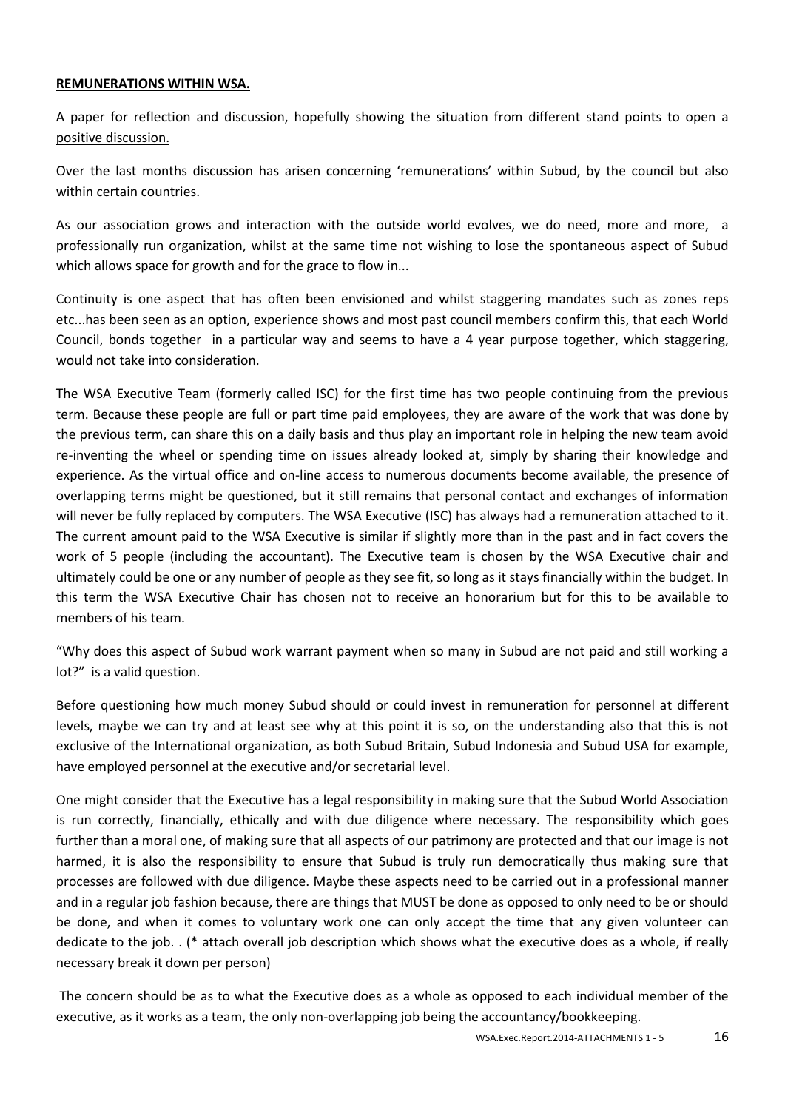## **REMUNERATIONS WITHIN WSA.**

A paper for reflection and discussion, hopefully showing the situation from different stand points to open a positive discussion.

Over the last months discussion has arisen concerning 'remunerations' within Subud, by the council but also within certain countries.

As our association grows and interaction with the outside world evolves, we do need, more and more, a professionally run organization, whilst at the same time not wishing to lose the spontaneous aspect of Subud which allows space for growth and for the grace to flow in...

Continuity is one aspect that has often been envisioned and whilst staggering mandates such as zones reps etc...has been seen as an option, experience shows and most past council members confirm this, that each World Council, bonds together in a particular way and seems to have a 4 year purpose together, which staggering, would not take into consideration.

The WSA Executive Team (formerly called ISC) for the first time has two people continuing from the previous term. Because these people are full or part time paid employees, they are aware of the work that was done by the previous term, can share this on a daily basis and thus play an important role in helping the new team avoid re-inventing the wheel or spending time on issues already looked at, simply by sharing their knowledge and experience. As the virtual office and on-line access to numerous documents become available, the presence of overlapping terms might be questioned, but it still remains that personal contact and exchanges of information will never be fully replaced by computers. The WSA Executive (ISC) has always had a remuneration attached to it. The current amount paid to the WSA Executive is similar if slightly more than in the past and in fact covers the work of 5 people (including the accountant). The Executive team is chosen by the WSA Executive chair and ultimately could be one or any number of people as they see fit, so long as it stays financially within the budget. In this term the WSA Executive Chair has chosen not to receive an honorarium but for this to be available to members of his team.

"Why does this aspect of Subud work warrant payment when so many in Subud are not paid and still working a lot?" is a valid question.

Before questioning how much money Subud should or could invest in remuneration for personnel at different levels, maybe we can try and at least see why at this point it is so, on the understanding also that this is not exclusive of the International organization, as both Subud Britain, Subud Indonesia and Subud USA for example, have employed personnel at the executive and/or secretarial level.

One might consider that the Executive has a legal responsibility in making sure that the Subud World Association is run correctly, financially, ethically and with due diligence where necessary. The responsibility which goes further than a moral one, of making sure that all aspects of our patrimony are protected and that our image is not harmed, it is also the responsibility to ensure that Subud is truly run democratically thus making sure that processes are followed with due diligence. Maybe these aspects need to be carried out in a professional manner and in a regular job fashion because, there are things that MUST be done as opposed to only need to be or should be done, and when it comes to voluntary work one can only accept the time that any given volunteer can dedicate to the job. . (\* attach overall job description which shows what the executive does as a whole, if really necessary break it down per person)

The concern should be as to what the Executive does as a whole as opposed to each individual member of the executive, as it works as a team, the only non-overlapping job being the accountancy/bookkeeping.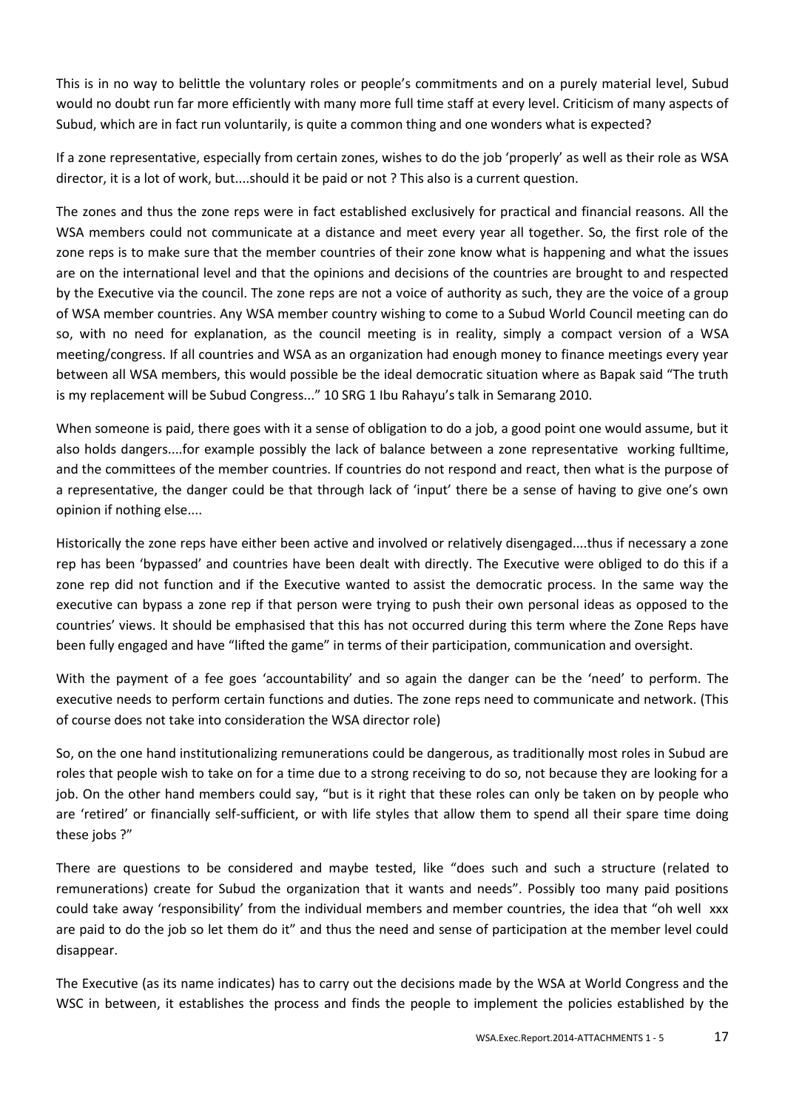This is in no way to belittle the voluntary roles or people's commitments and on a purely material level, Subud would no doubt run far more efficiently with many more full time staff at every level. Criticism of many aspects of Subud, which are in fact run voluntarily, is quite a common thing and one wonders what is expected?

If a zone representative, especially from certain zones, wishes to do the job 'properly' as well as their role as WSA director, it is a lot of work, but....should it be paid or not ? This also is a current question.

The zones and thus the zone reps were in fact established exclusively for practical and financial reasons. All the WSA members could not communicate at a distance and meet every year all together. So, the first role of the zone reps is to make sure that the member countries of their zone know what is happening and what the issues are on the international level and that the opinions and decisions of the countries are brought to and respected by the Executive via the council. The zone reps are not a voice of authority as such, they are the voice of a group of WSA member countries. Any WSA member country wishing to come to a Subud World Council meeting can do so, with no need for explanation, as the council meeting is in reality, simply a compact version of a WSA meeting/congress. If all countries and WSA as an organization had enough money to finance meetings every year between all WSA members, this would possible be the ideal democratic situation where as Bapak said "The truth is my replacement will be Subud Congress..." 10 SRG 1 Ibu Rahayu's talk in Semarang 2010.

When someone is paid, there goes with it a sense of obligation to do a job, a good point one would assume, but it also holds dangers....for example possibly the lack of balance between a zone representative working fulltime, and the committees of the member countries. If countries do not respond and react, then what is the purpose of a representative, the danger could be that through lack of 'input' there be a sense of having to give one's own opinion if nothing else....

Historically the zone reps have either been active and involved or relatively disengaged....thus if necessary a zone rep has been 'bypassed' and countries have been dealt with directly. The Executive were obliged to do this if a zone rep did not function and if the Executive wanted to assist the democratic process. In the same way the executive can bypass a zone rep if that person were trying to push their own personal ideas as opposed to the countries' views. It should be emphasised that this has not occurred during this term where the Zone Reps have been fully engaged and have "lifted the game" in terms of their participation, communication and oversight.

With the payment of a fee goes 'accountability' and so again the danger can be the 'need' to perform. The executive needs to perform certain functions and duties. The zone reps need to communicate and network. (This of course does not take into consideration the WSA director role)

So, on the one hand institutionalizing remunerations could be dangerous, as traditionally most roles in Subud are roles that people wish to take on for a time due to a strong receiving to do so, not because they are looking for a job. On the other hand members could say, "but is it right that these roles can only be taken on by people who are 'retired' or financially self-sufficient, or with life styles that allow them to spend all their spare time doing these jobs ?"

There are questions to be considered and maybe tested, like "does such and such a structure (related to remunerations) create for Subud the organization that it wants and needs". Possibly too many paid positions could take away 'responsibility' from the individual members and member countries, the idea that "oh well xxx are paid to do the job so let them do it" and thus the need and sense of participation at the member level could disappear.

The Executive (as its name indicates) has to carry out the decisions made by the WSA at World Congress and the WSC in between, it establishes the process and finds the people to implement the policies established by the